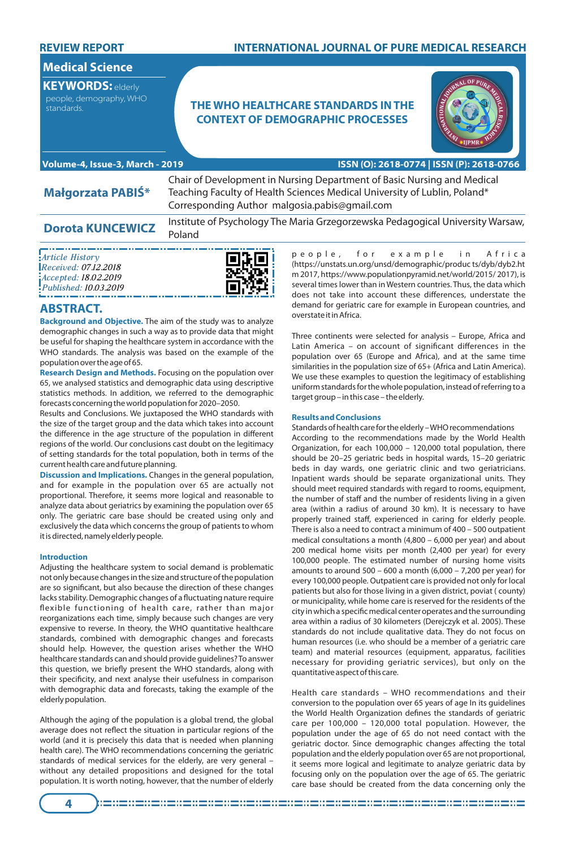### **REVIEW REPORT**

# **Medical Science**

**KEYWORDS:** elderly people, demography, WHO standards.

### **INTERNATIONAL JOURNAL OF PURE MEDICAL RESEARCH**

# **THE WHO HEALTHCARE STANDARDS IN THE CONTEXT OF DEMOGRAPHIC PROCESSES**



### **Volume-4, Issue-3, March - 2019 ISSN (O): 2618-0774 | ISSN (P): 2618-0766**

**Małgorzata PABIŚ\***

Chair of Development in Nursing Department of Basic Nursing and Medical Teaching Faculty of Health Sciences Medical University of Lublin, Poland\* Corresponding Author malgosia.pabis@gmail.com

# **Dorota KUNCEWICZ** Institute of Psychology The Maria Grzegorzewska Pedagogical University Warsaw,

*Article History Received: 07.12.2018 Accepted: 18.02.2019 Published: 10.03.2019*

## **ABSTRACT.**

**Background and Objective.** The aim of the study was to analyze demographic changes in such a way as to provide data that might be useful for shaping the healthcare system in accordance with the WHO standards. The analysis was based on the example of the population over the age of 65.

Poland

**Research Design and Methods.** Focusing on the population over 65, we analysed statistics and demographic data using descriptive statistics methods. In addition, we referred to the demographic forecasts concerning the world population for 2020–2050.

Results and Conclusions. We juxtaposed the WHO standards with the size of the target group and the data which takes into account the difference in the age structure of the population in different regions of the world. Our conclusions cast doubt on the legitimacy of setting standards for the total population, both in terms of the current health care and future planning.

**Discussion and Implications.** Changes in the general population, and for example in the population over 65 are actually not proportional. Therefore, it seems more logical and reasonable to analyze data about geriatrics by examining the population over 65 only. The geriatric care base should be created using only and exclusively the data which concerns the group of patients to whom it is directed, namely elderly people.

### **Introduction**

Adjusting the healthcare system to social demand is problematic not only because changes in the size and structure of the population are so significant, but also because the direction of these changes lacks stability. Demographic changes of a fluctuating nature require flexible functioning of health care, rather than major reorganizations each time, simply because such changes are very expensive to reverse. In theory, the WHO quantitative healthcare standards, combined with demographic changes and forecasts should help. However, the question arises whether the WHO healthcare standards can and should provide guidelines? To answer this question, we briefly present the WHO standards, along with their specificity, and next analyse their usefulness in comparison with demographic data and forecasts, taking the example of the elderly population.

Although the aging of the population is a global trend, the global average does not reflect the situation in particular regions of the world (and it is precisely this data that is needed when planning health care). The WHO recommendations concerning the geriatric standards of medical services for the elderly, are very general – without any detailed propositions and designed for the total population. It is worth noting, however, that the number of elderly

p e o p l e , for example in A frica (https://unstats.un.org/unsd/demographic/produc ts/dyb/dyb2.ht m 2017, https://www.populationpyramid.net/world/2015/ 2017), is several times lower than in Western countries. Thus, the data which does not take into account these differences, understate the demand for geriatric care for example in European countries, and overstate it in Africa.

Three continents were selected for analysis – Europe, Africa and Latin America - on account of significant differences in the population over 65 (Europe and Africa), and at the same time similarities in the population size of 65+ (Africa and Latin America). We use these examples to question the legitimacy of establishing uniform standards for the whole population, instead of referring to a target group – in this case – the elderly.

#### **Results and Conclusions**

Standards of health care for the elderly – WHO recommendations According to the recommendations made by the World Health Organization, for each 100,000 – 120,000 total population, there should be 20–25 geriatric beds in hospital wards, 15–20 geriatric beds in day wards, one geriatric clinic and two geriatricians. Inpatient wards should be separate organizational units. They should meet required standards with regard to rooms, equipment, the number of staff and the number of residents living in a given area (within a radius of around 30 km). It is necessary to have properly trained staff, experienced in caring for elderly people. There is also a need to contract a minimum of 400 – 500 outpatient medical consultations a month (4,800 – 6,000 per year) and about 200 medical home visits per month (2,400 per year) for every 100,000 people. The estimated number of nursing home visits amounts to around  $500 - 600$  a month  $(6,000 - 7,200$  per year) for every 100,000 people. Outpatient care is provided not only for local patients but also for those living in a given district, poviat ( county) or municipality, while home care is reserved for the residents of the city in which a specific medical center operates and the surrounding area within a radius of 30 kilometers (Derejczyk et al. 2005). These standards do not include qualitative data. They do not focus on human resources (i.e. who should be a member of a geriatric care team) and material resources (equipment, apparatus, facilities necessary for providing geriatric services), but only on the quantitative aspect of this care.

Health care standards – WHO recommendations and their conversion to the population over 65 years of age In its guidelines the World Health Organization defines the standards of geriatric care per 100,000 – 120,000 total population. However, the population under the age of 65 do not need contact with the geriatric doctor. Since demographic changes affecting the total population and the elderly population over 65 are not proportional, it seems more logical and legitimate to analyze geriatric data by focusing only on the population over the age of 65. The geriatric care base should be created from the data concerning only the

**4**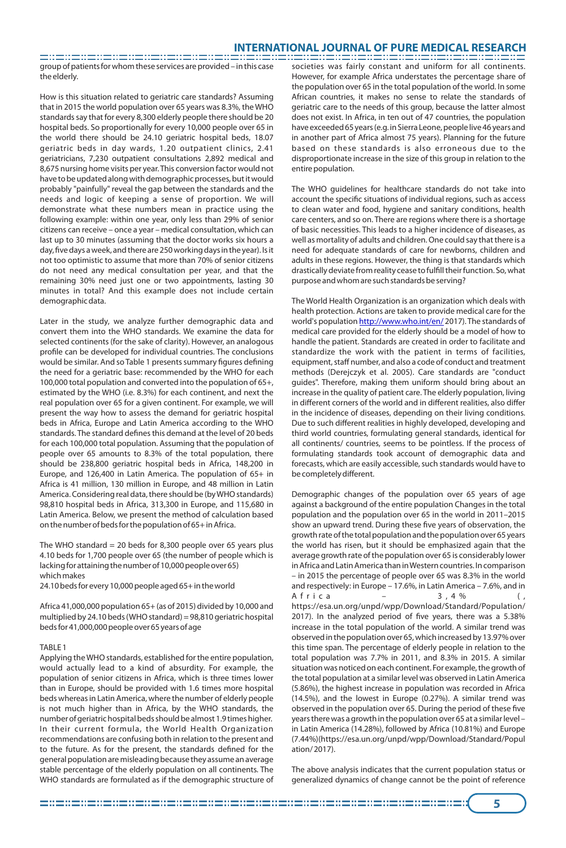group of patients for whom these services are provided – in this case the elderly.

How is this situation related to geriatric care standards? Assuming that in 2015 the world population over 65 years was 8.3%, the WHO standards say that for every 8,300 elderly people there should be 20 hospital beds. So proportionally for every 10,000 people over 65 in the world there should be 24.10 geriatric hospital beds, 18.07 geriatric beds in day wards, 1.20 outpatient clinics, 2.41 geriatricians, 7,230 outpatient consultations 2,892 medical and 8,675 nursing home visits per year. This conversion factor would not have to be updated along with demographic processes, but it would probably "painfully" reveal the gap between the standards and the needs and logic of keeping a sense of proportion. We will demonstrate what these numbers mean in practice using the following example: within one year, only less than 29% of senior citizens can receive – once a year – medical consultation, which can last up to 30 minutes (assuming that the doctor works six hours a day, five days a week, and there are 250 working days in the year). Is it not too optimistic to assume that more than 70% of senior citizens do not need any medical consultation per year, and that the remaining 30% need just one or two appointments, lasting 30 minutes in total? And this example does not include certain demographic data.

Later in the study, we analyze further demographic data and convert them into the WHO standards. We examine the data for selected continents (for the sake of clarity). However, an analogous profile can be developed for individual countries. The conclusions would be similar. And so Table 1 presents summary figures defining the need for a geriatric base: recommended by the WHO for each 100,000 total population and converted into the population of 65+, estimated by the WHO (i.e. 8.3%) for each continent, and next the real population over 65 for a given continent. For example, we will present the way how to assess the demand for geriatric hospital beds in Africa, Europe and Latin America according to the WHO standards. The standard defines this demand at the level of 20 beds for each 100,000 total population. Assuming that the population of people over 65 amounts to 8.3% of the total population, there should be 238,800 geriatric hospital beds in Africa, 148,200 in Europe, and 126,400 in Latin America. The population of 65+ in Africa is 41 million, 130 million in Europe, and 48 million in Latin America. Considering real data, there should be (by WHO standards) 98,810 hospital beds in Africa, 313,300 in Europe, and 115,680 in Latin America. Below, we present the method of calculation based on the number of beds for the population of 65+ in Africa.

The WHO standard  $= 20$  beds for 8,300 people over 65 years plus 4.10 beds for 1,700 people over 65 (the number of people which is lacking for attaining the number of 10,000 people over 65) which makes

24.10 beds for every 10,000 people aged 65+ in the world

Africa 41,000,000 population 65+ (as of 2015) divided by 10,000 and multiplied by 24.10 beds (WHO standard) = 98,810 geriatric hospital beds for 41,000,000 people over 65 years of age

#### TABLE<sub>1</sub>

Applying the WHO standards, established for the entire population, would actually lead to a kind of absurdity. For example, the population of senior citizens in Africa, which is three times lower than in Europe, should be provided with 1.6 times more hospital beds whereas in Latin America, where the number of elderly people is not much higher than in Africa, by the WHO standards, the number of geriatric hospital beds should be almost 1.9 times higher. In their current formula, the World Health Organization recommendations are confusing both in relation to the present and to the future. As for the present, the standards defined for the general population are misleading because they assume an average stable percentage of the elderly population on all continents. The WHO standards are formulated as if the demographic structure of

societies was fairly constant and uniform for all continents. However, for example Africa understates the percentage share of the population over 65 in the total population of the world. In some African countries, it makes no sense to relate the standards of geriatric care to the needs of this group, because the latter almost does not exist. In Africa, in ten out of 47 countries, the population have exceeded 65 years (e.g. in Sierra Leone, people live 46 years and in another part of Africa almost 75 years). Planning for the future based on these standards is also erroneous due to the disproportionate increase in the size of this group in relation to the entire population.

The WHO guidelines for healthcare standards do not take into account the specific situations of individual regions, such as access to clean water and food, hygiene and sanitary conditions, health care centers, and so on. There are regions where there is a shortage of basic necessities. This leads to a higher incidence of diseases, as well as mortality of adults and children. One could say that there is a need for adequate standards of care for newborns, children and adults in these regions. However, the thing is that standards which drastically deviate from reality cease to fulfill their function. So, what purpose and whom are such standards be serving?

The World Health Organization is an organization which deals with health protection. Actions are taken to provide medical care for the world's population http://www.who.int/en/ 2017). The standards of medical care provided for the elderly should be a model of how to handle the patient. Standards are created in order to facilitate and standardize the work with the patient in terms of facilities, equipment, staff number, and also a code of conduct and treatment methods (Derejczyk et al. 2005). Care standards are "conduct guides". Therefore, making them uniform should bring about an increase in the quality of patient care. The elderly population, living in different corners of the world and in different realities, also differ in the incidence of diseases, depending on their living conditions. Due to such different realities in highly developed, developing and third world countries, formulating general standards, identical for all continents/ countries, seems to be pointless. If the process of formulating standards took account of demographic data and forecasts, which are easily accessible, such standards would have to be completely different.

Demographic changes of the population over 65 years of age against a background of the entire population Changes in the total population and the population over 65 in the world in 2011–2015 show an upward trend. During these five years of observation, the growth rate of the total population and the population over 65 years the world has risen, but it should be emphasized again that the average growth rate of the population over 65 is considerably lower in Africa and Latin America than in Western countries. In comparison – in 2015 the percentage of people over 65 was 8.3% in the world and respectively: in Europe – 17.6%, in Latin America – 7.6%, and in  $A \text{ fric a}$  – 3,4% ( https://esa.un.org/unpd/wpp/Download/Standard/Population/ 2017). In the analyzed period of five years, there was a 5.38% increase in the total population of the world. A similar trend was observed in the population over 65, which increased by 13.97% over this time span. The percentage of elderly people in relation to the total population was 7.7% in 2011, and 8.3% in 2015. A similar situation was noticed on each continent. For example, the growth of the total population at a similar level was observed in Latin America (5.86%), the highest increase in population was recorded in Africa (14.5%), and the lowest in Europe (0.27%). A similar trend was observed in the population over 65. During the period of these five years there was a growth in the population over 65 at a similar level – in Latin America (14.28%), followed by Africa (10.81%) and Europe (7.44%)(https://esa.un.org/unpd/wpp/Download/Standard/Popul ation/ 2017).

The above analysis indicates that the current population status or generalized dynamics of change cannot be the point of reference

**5**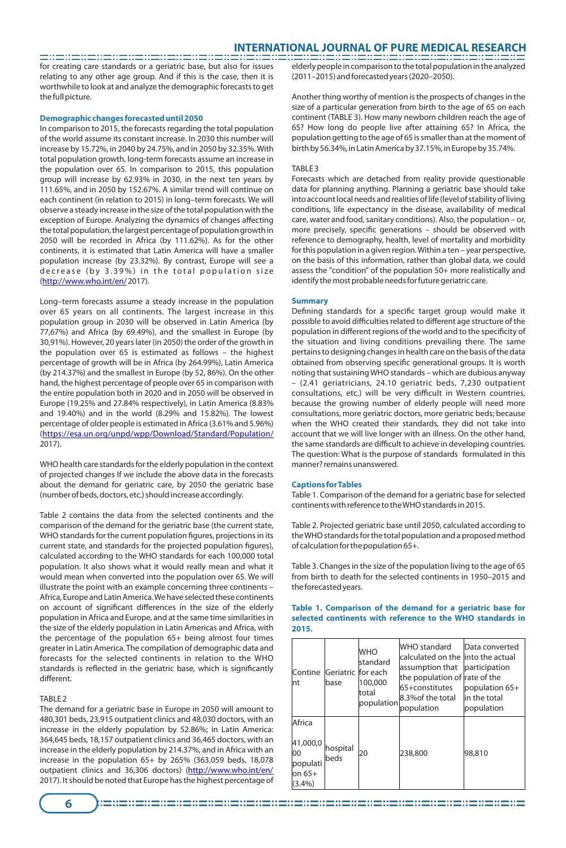ande en 1990 en 1990 en 1990 en 1990 en 1990 en 1990 en 1990 en 1990 en 1990 en 1990 en 1990 en 1990 en 1990 e for creating care standards or a geriatric base, but also for issues relating to any other age group. And if this is the case, then it is worthwhile to look at and analyze the demographic forecasts to get the full picture.

#### **Demographic changes forecasted until 2050**

In comparison to 2015, the forecasts regarding the total population of the world assume its constant increase. In 2030 this number will increase by 15.72%, in 2040 by 24.75%, and in 2050 by 32.35%. With total population growth, long-term forecasts assume an increase in the population over 65. In comparison to 2015, this population group will increase by 62.93% in 2030, in the next ten years by 111.65%, and in 2050 by 152.67%. A similar trend will continue on each continent (in relation to 2015) in long–term forecasts. We will observe a steady increase in the size of the total population with the exception of Europe. Analyzing the dynamics of changes affecting the total population, the largest percentage of population growth in 2050 will be recorded in Africa (by 111.62%). As for the other continents, it is estimated that Latin America will have a smaller population increase (by 23.32%). By contrast, Europe will see a decrease (by 3.39%) in the total population size (http://www.who.int/en/2017).

Long–term forecasts assume a steady increase in the population over 65 years on all continents. The largest increase in this population group in 2030 will be observed in Latin America (by 77,67%) and Africa (by 69.49%), and the smallest in Europe (by 30,91%). However, 20 years later (in 2050) the order of the growth in the population over 65 is estimated as follows – the highest percentage of growth will be in Africa (by 264.99%), Latin America (by 214.37%) and the smallest in Europe (by 52, 86%). On the other hand, the highest percentage of people over 65 in comparison with the entire population both in 2020 and in 2050 will be observed in Europe (19.25% and 27.84% respectively), in Latin America (8.83% and 19.40%) and in the world (8.29% and 15.82%). The lowest percentage of older people is estimated in Africa (3.61% and 5.96%) (https://esa.un.org/unpd/wpp/Download/Standard/Population/ 2017).

WHO health care standards for the elderly population in the context of projected changes If we include the above data in the forecasts about the demand for geriatric care, by 2050 the geriatric base (number of beds, doctors, etc.) should increase accordingly.

Table 2 contains the data from the selected continents and the comparison of the demand for the geriatric base (the current state, WHO standards for the current population figures, projections in its current state, and standards for the projected population figures), calculated according to the WHO standards for each 100,000 total population. It also shows what it would really mean and what it would mean when converted into the population over 65. We will illustrate the point with an example concerning three continents – Africa, Europe and Latin America. We have selected these continents on account of significant differences in the size of the elderly population in Africa and Europe, and at the same time similarities in the size of the elderly population in Latin Americas and Africa, with the percentage of the population 65+ being almost four times greater in Latin America. The compilation of demographic data and forecasts for the selected continents in relation to the WHO standards is reflected in the geriatric base, which is significantly different.

#### TARI F<sub>2</sub>

The demand for a geriatric base in Europe in 2050 will amount to 480,301 beds, 23,915 outpatient clinics and 48,030 doctors, with an increase in the elderly population by 52.86%; in Latin America: 364,645 beds, 18,157 outpatient clinics and 36,465 doctors, with an increase in the elderly population by 214.37%, and in Africa with an increase in the population 65+ by 265% (363,059 beds, 18,078 outpatient clinics and 36,306 doctors) (http://www.who.int/en/ 2017). It should be noted that Europe has the highest percentage of

elderly people in comparison to the total population in the analyzed (2011–2015) and forecasted years (2020–2050).

Another thing worthy of mention is the prospects of changes in the size of a particular generation from birth to the age of 65 on each continent (TABLE 3). How many newborn children reach the age of 65? How long do people live after attaining 65? In Africa, the population getting to the age of 65 is smaller than at the moment of birth by 56.34%, in Latin America by 37.15%, in Europe by 35.74%.

#### TABLE<sub>3</sub>

Forecasts which are detached from reality provide questionable data for planning anything. Planning a geriatric base should take into account local needs and realities of life (level of stability of living conditions, life expectancy in the disease, availability of medical care, water and food, sanitary conditions). Also, the population – or, more precisely, specific generations  $-$  should be observed with reference to demography, health, level of mortality and morbidity for this population in a given region. Within a ten – year perspective, on the basis of this information, rather than global data, we could assess the "condition" of the population 50+ more realistically and identify the most probable needs for future geriatric care.

#### **Summary**

Defining standards for a specific target group would make it possible to avoid difficulties related to different age structure of the population in different regions of the world and to the specificity of the situation and living conditions prevailing there. The same pertains to designing changes in health care on the basis of the data obtained from observing specific generational groups. It is worth noting that sustaining WHO standards – which are dubious anyway – (2.41 geriatricians, 24.10 geriatric beds, 7,230 outpatient consultations, etc.) will be very difficult in Western countries, because the growing number of elderly people will need more consultations, more geriatric doctors, more geriatric beds; because when the WHO created their standards, they did not take into account that we will live longer with an illness. On the other hand, the same standards are difficult to achieve in developing countries. The question: What is the purpose of standards formulated in this manner? remains unanswered.

#### **Captions for Tables**

Table 1. Comparison of the demand for a geriatric base for selected continents with reference to the WHO standards in 2015.

Table 2. Projected geriatric base until 2050, calculated according to the WHO standards for the total population and a proposed method of calculation for the population 65+.

Table 3. Changes in the size of the population living to the age of 65 from birth to death for the selected continents in 1950–2015 and the forecasted years.

| Contine<br>Int                                                | Geriatric for each<br>base | <b>WHO</b><br><b>standard</b><br>100,000<br>ltotal<br>population | WHO standard<br>calculated on the linto the actual<br>assumption that<br>the population of rate of the<br>65+constitutes<br>8.3% of the total<br>population | Data converted<br>participation<br>population $65+$<br>in the total<br>population |  |  |  |  |  |
|---------------------------------------------------------------|----------------------------|------------------------------------------------------------------|-------------------------------------------------------------------------------------------------------------------------------------------------------------|-----------------------------------------------------------------------------------|--|--|--|--|--|
| Africa<br>41,000,0<br>100<br>populati<br>lon 65+<br>$(3.4\%)$ | hospital<br>beds           | 20                                                               | 238,800                                                                                                                                                     | 98,810                                                                            |  |  |  |  |  |

### **Table 1. Comparison of the demand for a geriatric base for selected continents with reference to the WHO standards in 2015.**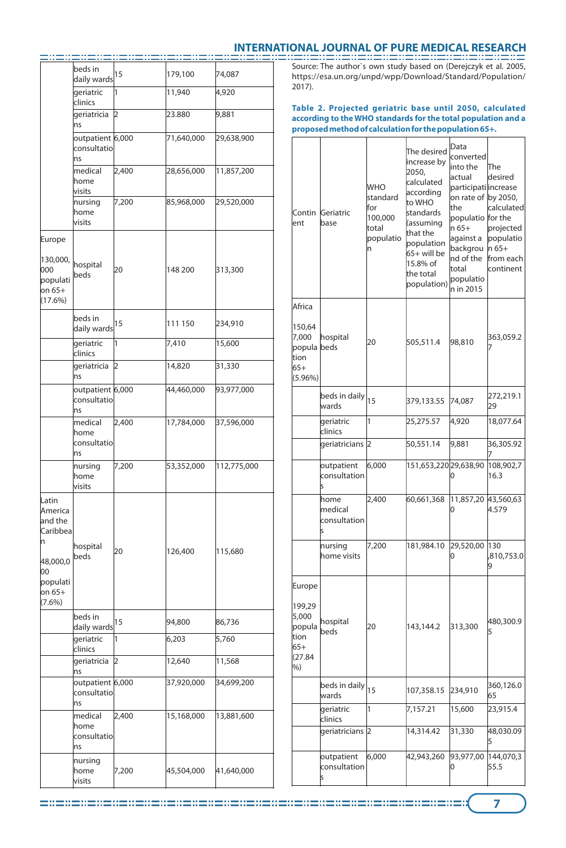|                                                                                                       | beds in<br>daily wards                | 15    | 179,100    | 74,087      |
|-------------------------------------------------------------------------------------------------------|---------------------------------------|-------|------------|-------------|
|                                                                                                       | geriatric<br>clinics                  | 1     | 11,940     | 4,920       |
|                                                                                                       | geriatricia<br>ns                     | 2     | 23.880     | 9,881       |
|                                                                                                       | outpatient 6,000<br>consultatio       |       | 71,640,000 | 29,638,900  |
|                                                                                                       | ns<br>medical<br>home                 | 2,400 | 28,656,000 | 11,857,200  |
|                                                                                                       | visits<br>nursing                     | 7,200 | 85,968,000 | 29,520,000  |
|                                                                                                       | home<br>visits                        |       |            |             |
| Europe                                                                                                |                                       |       |            |             |
| 130,000,<br>000<br>populati<br>on $65+$<br>(17.6%)                                                    | hospital<br>beds                      | 20    | 148 200    | 313,300     |
|                                                                                                       | beds in<br>daily wards                | 15    | 111 150    | 234,910     |
|                                                                                                       | geriatric<br>clinics                  | 1     | 7,410      | 15,600      |
|                                                                                                       | geriatricia<br>ns                     | 2     | 14,820     | 31,330      |
|                                                                                                       | outpatient 6,000<br>consultatio<br>ns |       | 44,460,000 | 93,977,000  |
|                                                                                                       | medical<br>home<br>consultatio<br>ns  | 2,400 | 17,784,000 | 37,596,000  |
|                                                                                                       | nursing<br>home<br>visits             | 7,200 | 53,352,000 | 112,775,000 |
| Latin<br>America<br>and the<br>Caribbea<br>ln.<br>48,000,0<br>00<br>populati<br>on $65+$<br>$(7.6\%)$ | hospital<br>beds                      | 20    | 126,400    | 115,680     |
|                                                                                                       | beds in<br>daily wards                | 15    | 94,800     | 86,736      |
|                                                                                                       | geriatric<br>clinics                  | 1     | 6,203      | 5,760       |
|                                                                                                       | geriatricia<br>ns                     | 2     | 12,640     | 11,568      |
|                                                                                                       | outpatient 6,000<br>consultatio<br>ns |       | 37,920,000 | 34,699,200  |
|                                                                                                       | medical<br>home<br>consultatio<br>ns  | 2,400 | 15,168,000 | 13,881,600  |
|                                                                                                       | nursing<br>home<br>visits             | 7,200 | 45,504,000 | 41,640,000  |

Source: The author`s own study based on (Derejczyk et al. 2005, https://esa.un.org/unpd/wpp/Download/Standard/Population/ 2017).

**Table 2. Projected geriatric base until 2050, calculated according to the WHO standards for the total population and a proposed method of calculation for the population 65+.**

| Contin<br>ent                                                         | Geriatric<br>lbase                   | WHO<br>standard<br>for<br>100,000<br>total<br>populatio<br>h | The desired<br>increase by<br>2050,<br>calculated<br>according<br>to WHO<br>lstandards<br>(assuming<br>that the<br>population<br>65+ will be<br>15.8% of<br>the total<br>population) | Data<br>converted<br>into the<br>actual<br>participati increase<br>on rate of by 2050,<br>the<br>populatio for the<br>$n 65+$<br>against a<br>backgrou $ n 65+$<br>nd of the<br>total<br>populatio<br>n in 2015 | lThe<br>ldesired<br>calculated<br>projected<br>populatio<br>from each<br>continent |
|-----------------------------------------------------------------------|--------------------------------------|--------------------------------------------------------------|--------------------------------------------------------------------------------------------------------------------------------------------------------------------------------------|-----------------------------------------------------------------------------------------------------------------------------------------------------------------------------------------------------------------|------------------------------------------------------------------------------------|
| Africa                                                                |                                      |                                                              |                                                                                                                                                                                      |                                                                                                                                                                                                                 |                                                                                    |
| 150,64<br>7,000<br>popula beds<br>tion<br>$65+$<br>$(5.96\%)$         | hospital                             | 20                                                           | 505,511.4                                                                                                                                                                            | 98,810                                                                                                                                                                                                          | 363,059.2                                                                          |
|                                                                       | beds in daily<br>wards               | 15                                                           | 379,133.55                                                                                                                                                                           | 74,087                                                                                                                                                                                                          | 272,219.1<br>29                                                                    |
|                                                                       | geriatric<br>clinics                 | 1                                                            | 25,275.57                                                                                                                                                                            | 4,920                                                                                                                                                                                                           | 18,077.64                                                                          |
|                                                                       | geriatricians                        | 12                                                           | 50,551.14                                                                                                                                                                            | 9,881                                                                                                                                                                                                           | 36,305.92                                                                          |
|                                                                       | outpatient<br>consultation           | 6,000                                                        | 151,653,220 29,638,90                                                                                                                                                                | 0                                                                                                                                                                                                               | 108,902,7<br>16.3                                                                  |
|                                                                       | home<br>medical<br>consultation<br>S | 2,400                                                        | 60,661,368                                                                                                                                                                           | 11,857,20<br>0                                                                                                                                                                                                  | 43,560,63<br>4.579                                                                 |
|                                                                       | nursing<br>7,200<br>home visits      |                                                              | 181,984.10                                                                                                                                                                           | 29,520,00<br>0                                                                                                                                                                                                  | 130<br>,810,753.0<br>9                                                             |
| Europe<br>199,29<br>5,000<br>popula<br>tion<br>$65+$<br>(27.84)<br>%) | hospital<br>beds                     | 20                                                           | 143,144.2                                                                                                                                                                            | 313,300                                                                                                                                                                                                         | 480,300.9                                                                          |
|                                                                       | beds in daily<br>wards               | 15                                                           | 107,358.15                                                                                                                                                                           | 234,910                                                                                                                                                                                                         | 360,126.0<br>65                                                                    |
|                                                                       | geriatric<br>clinics                 | 1                                                            | 7,157.21                                                                                                                                                                             | 15,600                                                                                                                                                                                                          | 23,915.4                                                                           |
|                                                                       | geriatricians                        | 12                                                           | 14,314.42                                                                                                                                                                            | 31,330                                                                                                                                                                                                          | 48,030.09<br>5                                                                     |
|                                                                       | outpatient<br>consultation<br>S      | 6,000                                                        | 42,943,260                                                                                                                                                                           | 93,977,00                                                                                                                                                                                                       | 144,070,3<br>55.5                                                                  |

**7**